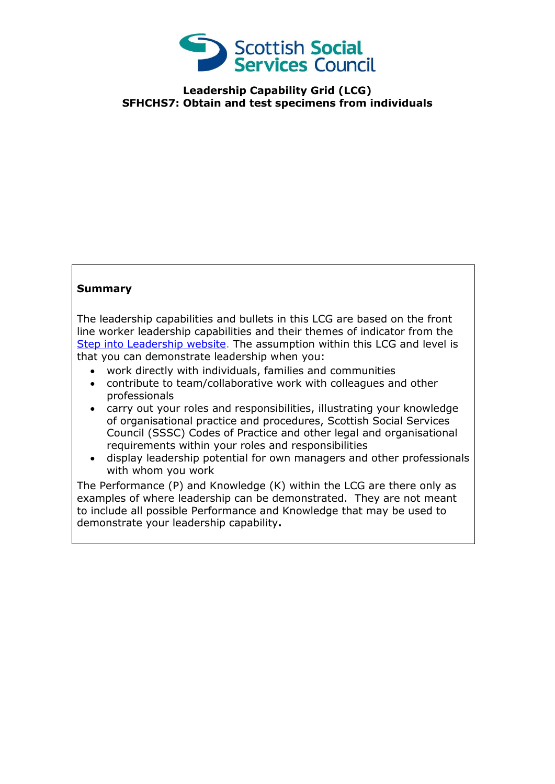

**Leadership Capability Grid (LCG) SFHCHS7: Obtain and test specimens from individuals**

## **Summary**

The leadership capabilities and bullets in this LCG are based on the front line worker leadership capabilities and their themes of indicator from the [Step into Leadership website.](http://www.stepintoleadership.info/) The assumption within this LCG and level is that you can demonstrate leadership when you:

- work directly with individuals, families and communities
- contribute to team/collaborative work with colleagues and other professionals
- carry out your roles and responsibilities, illustrating your knowledge of organisational practice and procedures, Scottish Social Services Council (SSSC) Codes of Practice and other legal and organisational requirements within your roles and responsibilities
- display leadership potential for own managers and other professionals with whom you work

The Performance (P) and Knowledge (K) within the LCG are there only as examples of where leadership can be demonstrated. They are not meant to include all possible Performance and Knowledge that may be used to demonstrate your leadership capability**.**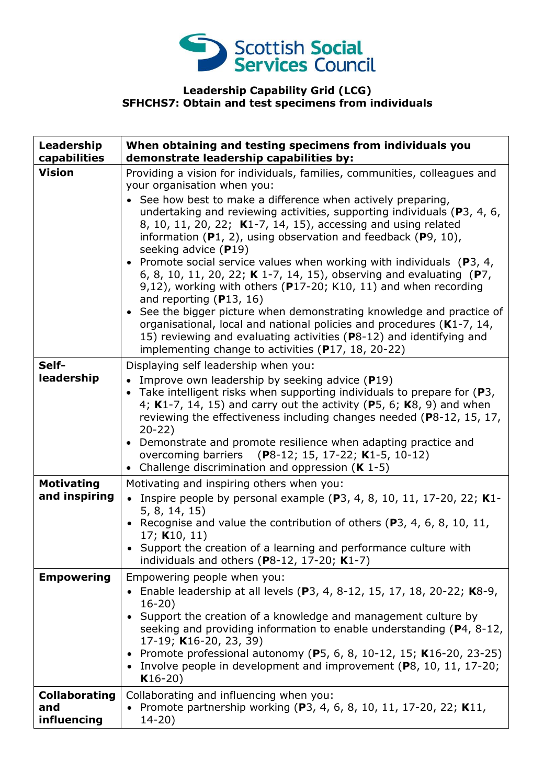

## **Leadership Capability Grid (LCG) SFHCHS7: Obtain and test specimens from individuals**

| Leadership<br>capabilities                 | When obtaining and testing specimens from individuals you<br>demonstrate leadership capabilities by:                                                                                                                                                                                                                                                                                                                                                                                                                                                                                                                                                                                                                                                                                                                                                                                                                                                        |
|--------------------------------------------|-------------------------------------------------------------------------------------------------------------------------------------------------------------------------------------------------------------------------------------------------------------------------------------------------------------------------------------------------------------------------------------------------------------------------------------------------------------------------------------------------------------------------------------------------------------------------------------------------------------------------------------------------------------------------------------------------------------------------------------------------------------------------------------------------------------------------------------------------------------------------------------------------------------------------------------------------------------|
| <b>Vision</b>                              | Providing a vision for individuals, families, communities, colleagues and<br>your organisation when you:<br>See how best to make a difference when actively preparing,<br>undertaking and reviewing activities, supporting individuals (P3, 4, 6,<br>8, 10, 11, 20, 22; K1-7, 14, 15), accessing and using related<br>information $(P1, 2)$ , using observation and feedback $(P9, 10)$ ,<br>seeking advice $(P19)$<br>• Promote social service values when working with individuals $(P3, 4, 4)$<br>6, 8, 10, 11, 20, 22; K 1-7, 14, 15), observing and evaluating (P7,<br>9,12), working with others ( $P17-20$ ; K10, 11) and when recording<br>and reporting $(P13, 16)$<br>• See the bigger picture when demonstrating knowledge and practice of<br>organisational, local and national policies and procedures (K1-7, 14,<br>15) reviewing and evaluating activities (P8-12) and identifying and<br>implementing change to activities (P17, 18, 20-22) |
| Self-<br>leadership                        | Displaying self leadership when you:<br>• Improve own leadership by seeking advice $(P19)$<br>• Take intelligent risks when supporting individuals to prepare for $(P3,$<br>4; K1-7, 14, 15) and carry out the activity (P5, 6; K8, 9) and when<br>reviewing the effectiveness including changes needed (P8-12, 15, 17,<br>$20 - 22$<br>• Demonstrate and promote resilience when adapting practice and<br>overcoming barriers (P8-12; 15, 17-22; K1-5, 10-12)<br>• Challenge discrimination and oppression $(K 1-5)$                                                                                                                                                                                                                                                                                                                                                                                                                                       |
| <b>Motivating</b><br>and inspiring         | Motivating and inspiring others when you:<br>• Inspire people by personal example (P3, 4, 8, 10, 11, 17-20, 22; K1-<br>5, 8, 14, 15)<br>• Recognise and value the contribution of others (P3, 4, 6, 8, 10, 11,<br>17; K10, 11)<br>• Support the creation of a learning and performance culture with<br>individuals and others (P8-12, 17-20; $K1-7$ )                                                                                                                                                                                                                                                                                                                                                                                                                                                                                                                                                                                                       |
| <b>Empowering</b>                          | Empowering people when you:<br>• Enable leadership at all levels (P3, 4, 8-12, 15, 17, 18, 20-22; K8-9,<br>$16 - 20$<br>• Support the creation of a knowledge and management culture by<br>seeking and providing information to enable understanding (P4, 8-12,<br>17-19; K16-20, 23, 39)<br>• Promote professional autonomy (P5, 6, 8, 10-12, 15; K16-20, 23-25)<br>• Involve people in development and improvement (P8, 10, 11, 17-20;<br>$K16-20)$                                                                                                                                                                                                                                                                                                                                                                                                                                                                                                       |
| <b>Collaborating</b><br>and<br>influencing | Collaborating and influencing when you:<br>• Promote partnership working (P3, 4, 6, 8, 10, 11, 17-20, 22; K11,<br>$14 - 20$ )                                                                                                                                                                                                                                                                                                                                                                                                                                                                                                                                                                                                                                                                                                                                                                                                                               |